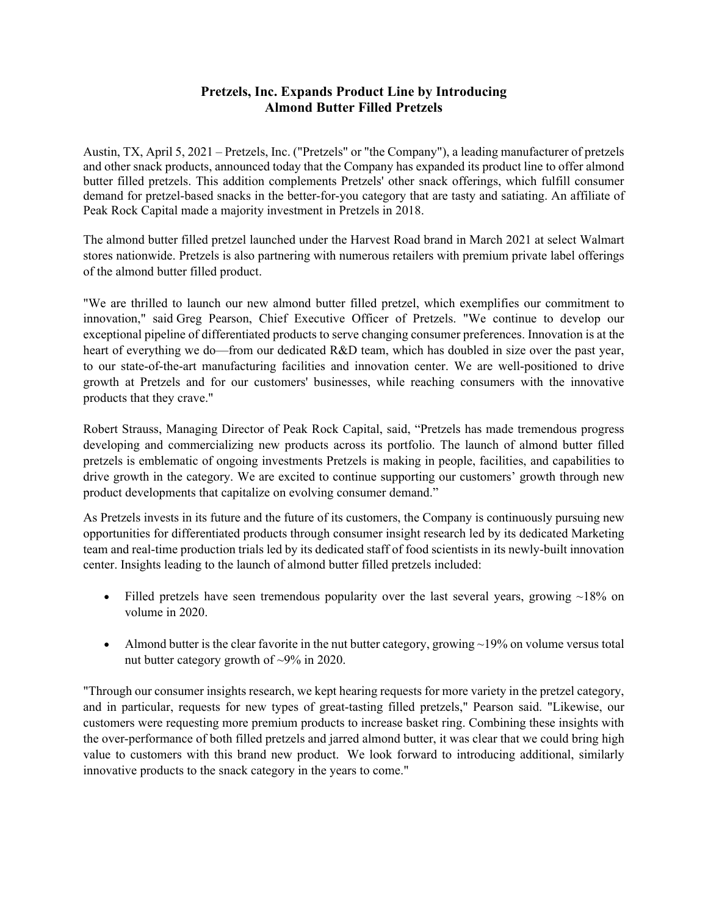## **Pretzels, Inc. Expands Product Line by Introducing Almond Butter Filled Pretzels**

Austin, TX, April 5, 2021 – Pretzels, Inc. ("Pretzels" or "the Company"), a leading manufacturer of pretzels and other snack products, announced today that the Company has expanded its product line to offer almond butter filled pretzels. This addition complements Pretzels' other snack offerings, which fulfill consumer demand for pretzel-based snacks in the better-for-you category that are tasty and satiating. An affiliate of Peak Rock Capital made a majority investment in Pretzels in 2018.

The almond butter filled pretzel launched under the Harvest Road brand in March 2021 at select Walmart stores nationwide. Pretzels is also partnering with numerous retailers with premium private label offerings of the almond butter filled product.

"We are thrilled to launch our new almond butter filled pretzel, which exemplifies our commitment to innovation," said Greg Pearson, Chief Executive Officer of Pretzels. "We continue to develop our exceptional pipeline of differentiated products to serve changing consumer preferences. Innovation is at the heart of everything we do—from our dedicated R&D team, which has doubled in size over the past year, to our state-of-the-art manufacturing facilities and innovation center. We are well-positioned to drive growth at Pretzels and for our customers' businesses, while reaching consumers with the innovative products that they crave."

Robert Strauss, Managing Director of Peak Rock Capital, said, "Pretzels has made tremendous progress developing and commercializing new products across its portfolio. The launch of almond butter filled pretzels is emblematic of ongoing investments Pretzels is making in people, facilities, and capabilities to drive growth in the category. We are excited to continue supporting our customers' growth through new product developments that capitalize on evolving consumer demand."

As Pretzels invests in its future and the future of its customers, the Company is continuously pursuing new opportunities for differentiated products through consumer insight research led by its dedicated Marketing team and real-time production trials led by its dedicated staff of food scientists in its newly-built innovation center. Insights leading to the launch of almond butter filled pretzels included:

- Filled pretzels have seen tremendous popularity over the last several years, growing  $\sim$ 18% on volume in 2020.
- Almond butter is the clear favorite in the nut butter category, growing  $\sim$ 19% on volume versus total nut butter category growth of ~9% in 2020.

"Through our consumer insights research, we kept hearing requests for more variety in the pretzel category, and in particular, requests for new types of great-tasting filled pretzels," Pearson said. "Likewise, our customers were requesting more premium products to increase basket ring. Combining these insights with the over-performance of both filled pretzels and jarred almond butter, it was clear that we could bring high value to customers with this brand new product. We look forward to introducing additional, similarly innovative products to the snack category in the years to come."